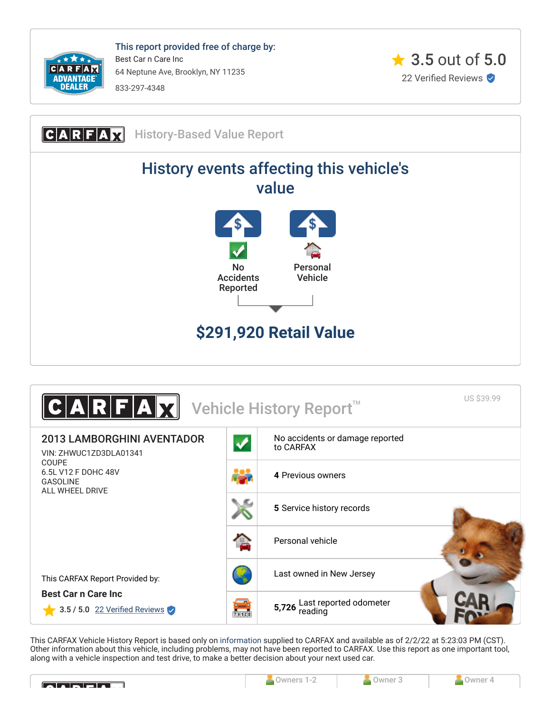

This report provided free of charge by: Best Car n Care Inc 64 Neptune Ave, Brooklyn, NY 11235 833-297-4348







<span id="page-0-0"></span>This CARFAX Vehicle History Report is based only on [information](http://www.carfax.com/company/vhr-data-sources) supplied to CARFAX and available as of 2/2/22 at 5:23:03 PM (CST). Other information about this vehicle, including problems, may not have been reported to CARFAX. Use this report as one important tool, along with a vehicle inspection and test drive, to make a better decision about your next used car.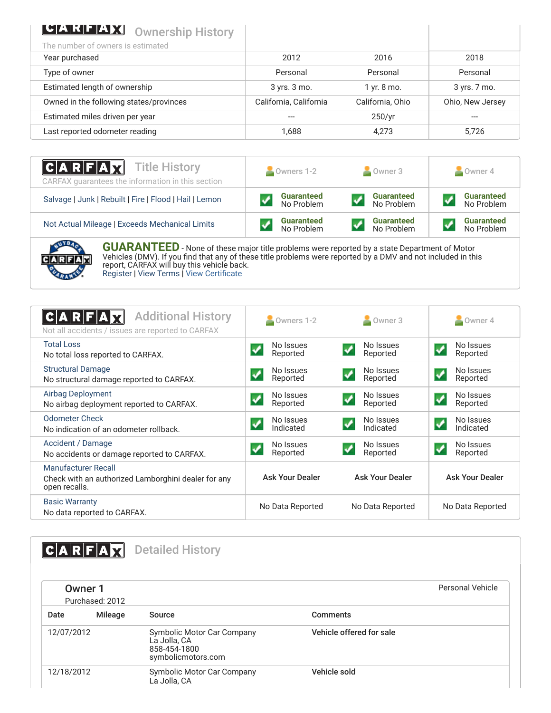| <b>CEALGEARY</b> Ownership History      |                        |                  |                  |
|-----------------------------------------|------------------------|------------------|------------------|
| The number of owners is estimated       |                        |                  |                  |
| Year purchased                          | 2012                   | 2016             | 2018             |
| Type of owner                           | Personal               | Personal         | Personal         |
| Estimated length of ownership           | 3 yrs. 3 mo.           | 1 yr. 8 mo.      | 3 yrs. 7 mo.     |
| Owned in the following states/provinces | California, California | California, Ohio | Ohio, New Jersey |
| Estimated miles driven per year         |                        | 250/yr           |                  |
| Last reported odometer reading          | 1.688                  | 4,273            | 5,726            |

| $ C A R F A \overline{X}$ Title History<br>CARFAX quarantees the information in this section | $\bullet$ Owners 1-2            | $\blacksquare$ Owner 3          | Owner 4                         |  |
|----------------------------------------------------------------------------------------------|---------------------------------|---------------------------------|---------------------------------|--|
| Salvage   Junk   Rebuilt   Fire   Flood   Hail   Lemon                                       | <b>Guaranteed</b><br>No Problem | <b>Guaranteed</b><br>No Problem | <b>Guaranteed</b><br>No Problem |  |
| Not Actual Mileage   Exceeds Mechanical Limits                                               | <b>Guaranteed</b><br>No Problem | <b>Guaranteed</b><br>No Problem | <b>Guaranteed</b><br>No Problem |  |



**GUARANTEED** - None of these major title problems were reported by a state Department of Motor Vehicles (DMV). If you find that any of these title problems were reported by a DMV and not included in this report, CARFAX will buy this vehicle back. [Register](https://www.carfax.com/Service/bbg) | [View Terms](http://www.carfaxonline.com/legal/bbgTerms) | [View Certificate](https://www.carfaxonline.com/vhrs/ZHWUC1ZD3DLA01341)

<span id="page-1-0"></span>

| <b>Additional History</b><br>Not all accidents / issues are reported to CARFAX                     | Owners 1-2             | Owner 3                                          | Owner 4                                        |
|----------------------------------------------------------------------------------------------------|------------------------|--------------------------------------------------|------------------------------------------------|
| <b>Total Loss</b><br>No total loss reported to CARFAX.                                             | No Issues<br>Reported  | No Issues<br>✔<br>Reported                       | No Issues<br>$\blacktriangledown$<br>Reported  |
| <b>Structural Damage</b><br>No structural damage reported to CARFAX.                               | No Issues<br>Reported  | No Issues<br>$\overline{\mathbf{v}}$<br>Reported | No Issues<br>$\blacktriangledown$<br>Reported  |
| <b>Airbag Deployment</b><br>No airbag deployment reported to CARFAX.                               | No Issues<br>Reported  | No Issues<br>Reported                            | No Issues<br>Reported                          |
| <b>Odometer Check</b><br>No indication of an odometer rollback.                                    | No Issues<br>Indicated | No Issues<br>$\boldsymbol{v}$<br>Indicated       | No Issues<br>$\blacktriangledown$<br>Indicated |
| Accident / Damage<br>No accidents or damage reported to CARFAX.                                    | No Issues<br>Reported  | No Issues<br>$\blacktriangledown$<br>Reported    | No Issues<br>$\blacktriangledown$<br>Reported  |
| <b>Manufacturer Recall</b><br>Check with an authorized Lamborghini dealer for any<br>open recalls. | <b>Ask Your Dealer</b> | <b>Ask Your Dealer</b>                           | <b>Ask Your Dealer</b>                         |
| <b>Basic Warranty</b><br>No data reported to CARFAX.                                               | No Data Reported       | No Data Reported                                 | No Data Reported                               |

<span id="page-1-1"></span>CARFAX Detailed History Owner 1 Purchased: 2012 Personal Vehicle Date Mileage Source **Comments** 12/07/2012 Symbolic Motor Car Company La Jolla, CA 858-454-1800 symbolicmotors.com Vehicle offered for sale 12/18/2012 Symbolic Motor Car Company La Jolla, CA Vehicle sold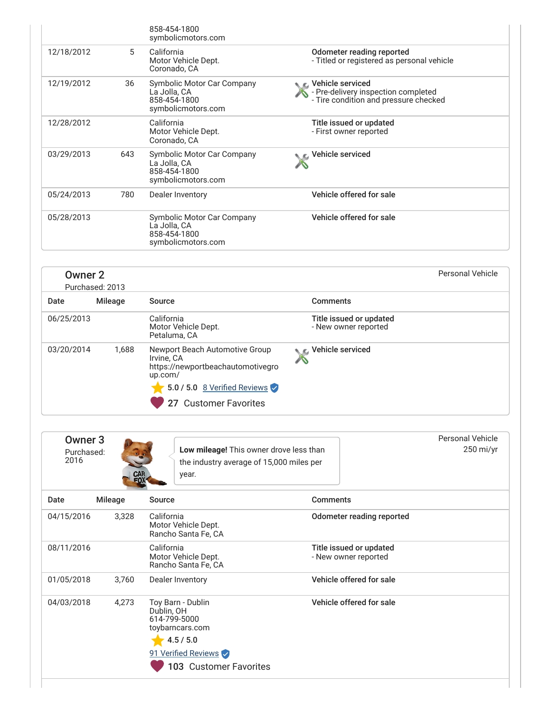|            |     | 858-454-1800<br>symbolicmotors.com                                               |                                                                                                      |
|------------|-----|----------------------------------------------------------------------------------|------------------------------------------------------------------------------------------------------|
| 12/18/2012 | 5   | California<br>Motor Vehicle Dept.<br>Coronado, CA                                | Odometer reading reported<br>- Titled or registered as personal vehicle                              |
| 12/19/2012 | 36  | Symbolic Motor Car Company<br>La Jolla, CA<br>858-454-1800<br>symbolicmotors.com | ⊾ C Vehicle serviced<br>- Pre-delivery inspection completed<br>- Tire condition and pressure checked |
| 12/28/2012 |     | California<br>Motor Vehicle Dept.<br>Coronado, CA                                | Title issued or updated<br>- First owner reported                                                    |
| 03/29/2013 | 643 | Symbolic Motor Car Company<br>La Jolla, CA<br>858-454-1800<br>symbolicmotors.com | Vehicle serviced                                                                                     |
| 05/24/2013 | 780 | Dealer Inventory                                                                 | Vehicle offered for sale                                                                             |
| 05/28/2013 |     | Symbolic Motor Car Company<br>La Jolla, CA<br>858-454-1800<br>symbolicmotors.com | Vehicle offered for sale                                                                             |

| <b>Owner 2</b> |  |
|----------------|--|
|----------------|--|

|            | Purchased: 2013 |                                                                                                                                                       |                                                 |  |
|------------|-----------------|-------------------------------------------------------------------------------------------------------------------------------------------------------|-------------------------------------------------|--|
| Date       | Mileage         | Source                                                                                                                                                | <b>Comments</b>                                 |  |
| 06/25/2013 |                 | California<br>Motor Vehicle Dept.<br>Petaluma, CA                                                                                                     | Title issued or updated<br>- New owner reported |  |
| 03/20/2014 | 1,688           | Newport Beach Automotive Group<br>Irvine. CA<br>https://newportbeachautomotivegro<br>up.com/<br>5.0 / 5.0 8 Verified Reviews<br>27 Customer Favorites | Vehicle serviced                                |  |

Personal Vehicle

| Owner 3<br>Purchased:<br>2016 | CAR<br>FOX     | Low mileage! This owner drove less than<br>the industry average of 15,000 miles per<br>year.                                            |                                                 | Personal Vehicle<br>250 mi/yr |
|-------------------------------|----------------|-----------------------------------------------------------------------------------------------------------------------------------------|-------------------------------------------------|-------------------------------|
| Date                          | <b>Mileage</b> | Source                                                                                                                                  | <b>Comments</b>                                 |                               |
| 04/15/2016                    | 3,328          | California<br>Motor Vehicle Dept.<br>Rancho Santa Fe, CA                                                                                | Odometer reading reported                       |                               |
| 08/11/2016                    |                | California<br>Motor Vehicle Dept.<br>Rancho Santa Fe, CA                                                                                | Title issued or updated<br>- New owner reported |                               |
| 01/05/2018                    | 3,760          | Dealer Inventory                                                                                                                        | Vehicle offered for sale                        |                               |
| 04/03/2018                    | 4,273          | Toy Barn - Dublin<br>Dublin, OH<br>614-799-5000<br>toybarncars.com<br>4.5 / 5.0<br>91 Verified Reviews<br><b>103 Customer Favorites</b> | Vehicle offered for sale                        |                               |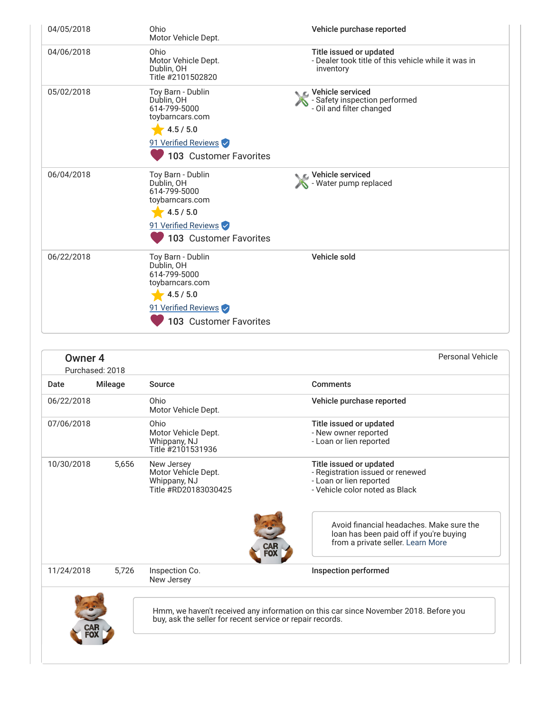| 04/05/2018 | Ohio<br>Motor Vehicle Dept.                                                                                                      | Vehicle purchase reported                                                                            |
|------------|----------------------------------------------------------------------------------------------------------------------------------|------------------------------------------------------------------------------------------------------|
| 04/06/2018 | Ohio<br>Motor Vehicle Dept.<br>Dublin, OH<br>Title #2101502820                                                                   | Title issued or updated<br>- Dealer took title of this vehicle while it was in<br>inventory          |
| 05/02/2018 | Toy Barn - Dublin<br>Dublin, OH<br>614-799-5000<br>toybarncars.com<br>4.5 / 5.0<br>91 Verified Reviews<br>103 Customer Favorites | $\bullet$ $\epsilon$ . Vehicle serviced<br>- Safety inspection performed<br>- Oil and filter changed |
| 06/04/2018 | Toy Barn - Dublin<br>Dublin, OH<br>614-799-5000<br>toybarncars.com<br>4.5 / 5.0<br>91 Verified Reviews<br>103 Customer Favorites | $\bullet$ $\epsilon$ Vehicle serviced<br>- Water pump replaced                                       |
| 06/22/2018 | Toy Barn - Dublin<br>Dublin, OH<br>614-799-5000<br>toybarncars.com<br>4.5 / 5.0<br>91 Verified Reviews<br>103 Customer Favorites | Vehicle sold                                                                                         |

| Owner <sub>4</sub>                                                                                                                                | Purchased: 2018 |                                                                           | <b>Personal Vehicle</b>                                                                                                                                              |
|---------------------------------------------------------------------------------------------------------------------------------------------------|-----------------|---------------------------------------------------------------------------|----------------------------------------------------------------------------------------------------------------------------------------------------------------------|
| Date                                                                                                                                              | <b>Mileage</b>  | Source                                                                    | <b>Comments</b>                                                                                                                                                      |
| 06/22/2018                                                                                                                                        |                 | Ohio<br>Motor Vehicle Dept.                                               | Vehicle purchase reported                                                                                                                                            |
| 07/06/2018                                                                                                                                        |                 | Ohio<br>Motor Vehicle Dept.<br>Whippany, NJ<br>Title #2101531936          | Title issued or updated<br>- New owner reported<br>- Loan or lien reported                                                                                           |
| 10/30/2018                                                                                                                                        | 5,656           | New Jersey<br>Motor Vehicle Dept.<br>Whippany, NJ<br>Title #RD20183030425 | Title issued or updated<br>- Registration issued or renewed<br>- Loan or lien reported<br>- Vehicle color noted as Black<br>Avoid financial headaches. Make sure the |
|                                                                                                                                                   |                 |                                                                           | loan has been paid off if you're buying<br>from a private seller. Learn More                                                                                         |
| 11/24/2018                                                                                                                                        | 5,726           | Inspection Co.<br>New Jersey                                              | Inspection performed                                                                                                                                                 |
| Hmm, we haven't received any information on this car since November 2018. Before you<br>buy, ask the seller for recent service or repair records. |                 |                                                                           |                                                                                                                                                                      |
|                                                                                                                                                   |                 |                                                                           |                                                                                                                                                                      |